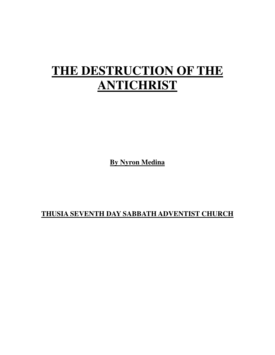# **THE DESTRUCTION OF THE ANTICHRIST**

**By Nyron Medina**

**THUSIA SEVENTH DAY SABBATH ADVENTIST CHURCH**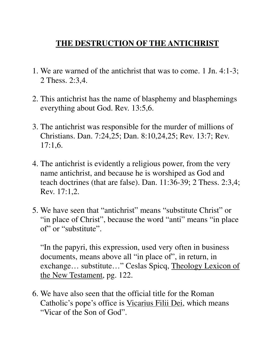## **THE DESTRUCTION OF THE ANTICHRIST**

- 1. We are warned of the antichrist that was to come. 1 Jn. 4:1-3; 2 Thess. 2:3,4.
- 2. This antichrist has the name of blasphemy and blasphemings everything about God. Rev. 13:5,6.
- 3. The antichrist was responsible for the murder of millions of Christians. Dan. 7:24,25; Dan. 8:10,24,25; Rev. 13:7; Rev. 17:1,6.
- 4. The antichrist is evidently a religious power, from the very name antichrist, and because he is worshiped as God and teach doctrines (that are false). Dan. 11:36-39; 2 Thess. 2:3,4; Rev. 17:1,2.
- 5. We have seen that "antichrist" means "substitute Christ" or "in place of Christ", because the word "anti" means "in place of" or "substitute".

 "In the papyri, this expression, used very often in business documents, means above all "in place of", in return, in exchange… substitute…" Ceslas Spicq, Theology Lexicon of the New Testament, pg. 122.

6. We have also seen that the official title for the Roman Catholic's pope's office is Vicarius Filii Dei, which means "Vicar of the Son of God".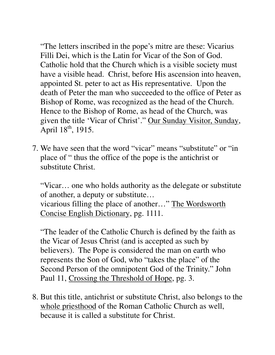"The letters inscribed in the pope's mitre are these: Vicarius Filli Dei, which is the Latin for Vicar of the Son of God. Catholic hold that the Church which is a visible society must have a visible head. Christ, before His ascension into heaven, appointed St. peter to act as His representative. Upon the death of Peter the man who succeeded to the office of Peter as Bishop of Rome, was recognized as the head of the Church. Hence to the Bishop of Rome, as head of the Church, was given the title 'Vicar of Christ'." Our Sunday Visitor, Sunday, April  $18^{th}$ , 1915.

7. We have seen that the word "vicar" means "substitute" or "in place of " thus the office of the pope is the antichrist or substitute Christ.

 "Vicar… one who holds authority as the delegate or substitute of another, a deputy or substitute… vicarious filling the place of another…" The Wordsworth Concise English Dictionary, pg. 1111.

 "The leader of the Catholic Church is defined by the faith as the Vicar of Jesus Christ (and is accepted as such by believers). The Pope is considered the man on earth who represents the Son of God, who "takes the place" of the Second Person of the omnipotent God of the Trinity." John Paul 11, Crossing the Threshold of Hope, pg. 3.

8. But this title, antichrist or substitute Christ, also belongs to the whole priesthood of the Roman Catholic Church as well, because it is called a substitute for Christ.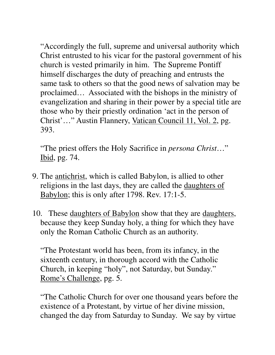"Accordingly the full, supreme and universal authority which Christ entrusted to his vicar for the pastoral government of his church is vested primarily in him. The Supreme Pontiff himself discharges the duty of preaching and entrusts the same task to others so that the good news of salvation may be proclaimed… Associated with the bishops in the ministry of evangelization and sharing in their power by a special title are those who by their priestly ordination 'act in the person of Christ'…" Austin Flannery, Vatican Council 11, Vol. 2, pg. 393.

 "The priest offers the Holy Sacrifice in *persona Christ*…" Ibid, pg. 74.

- 9. The antichrist, which is called Babylon, is allied to other religions in the last days, they are called the daughters of Babylon; this is only after 1798. Rev. 17:1-5.
- 10. These daughters of Babylon show that they are daughters, because they keep Sunday holy, a thing for which they have only the Roman Catholic Church as an authority.

 "The Protestant world has been, from its infancy, in the sixteenth century, in thorough accord with the Catholic Church, in keeping "holy", not Saturday, but Sunday." Rome's Challenge, pg. 5.

 "The Catholic Church for over one thousand years before the existence of a Protestant, by virtue of her divine mission, changed the day from Saturday to Sunday. We say by virtue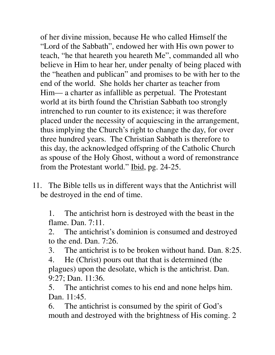of her divine mission, because He who called Himself the "Lord of the Sabbath", endowed her with His own power to teach, "he that heareth you heareth Me", commanded all who believe in Him to hear her, under penalty of being placed with the "heathen and publican" and promises to be with her to the end of the world. She holds her charter as teacher from Him— a charter as infallible as perpetual. The Protestant world at its birth found the Christian Sabbath too strongly intrenched to run counter to its existence; it was therefore placed under the necessity of acquiescing in the arrangement, thus implying the Church's right to change the day, for over three hundred years. The Christian Sabbath is therefore to this day, the acknowledged offspring of the Catholic Church as spouse of the Holy Ghost, without a word of remonstrance from the Protestant world." Ibid, pg. 24-25.

11. The Bible tells us in different ways that the Antichrist will be destroyed in the end of time.

 1. The antichrist horn is destroyed with the beast in the flame. Dan. 7:11.

 2. The antichrist's dominion is consumed and destroyed to the end. Dan. 7:26.

3. The antichrist is to be broken without hand. Dan. 8:25.

 4. He (Christ) pours out that that is determined (the plagues) upon the desolate, which is the antichrist. Dan. 9:27; Dan. 11:36.

 5. The antichrist comes to his end and none helps him. Dan. 11:45.

 6. The antichrist is consumed by the spirit of God's mouth and destroyed with the brightness of His coming. 2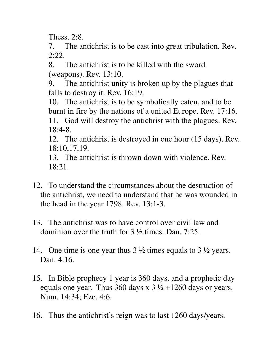Thess. 2:8.

 7. The antichrist is to be cast into great tribulation. Rev. 2:22.

 8. The antichrist is to be killed with the sword (weapons). Rev. 13:10.

 9. The antichrist unity is broken up by the plagues that falls to destroy it. Rev. 16:19.

 10. The antichrist is to be symbolically eaten, and to be burnt in fire by the nations of a united Europe. Rev. 17:16. 11. God will destroy the antichrist with the plagues. Rev.

18:4-8.

 12. The antichrist is destroyed in one hour (15 days). Rev. 18:10,17,19.

 13. The antichrist is thrown down with violence. Rev. 18:21.

- 12. To understand the circumstances about the destruction of the antichrist, we need to understand that he was wounded in the head in the year 1798. Rev. 13:1-3.
- 13. The antichrist was to have control over civil law and dominion over the truth for 3 ½ times. Dan. 7:25.
- 14. One time is one year thus 3 ½ times equals to 3 ½ years. Dan. 4:16.
- 15. In Bible prophecy 1 year is 360 days, and a prophetic day equals one year. Thus 360 days x  $3\frac{1}{2} + 1260$  days or years. Num. 14:34; Eze. 4:6.
- 16. Thus the antichrist's reign was to last 1260 days/years.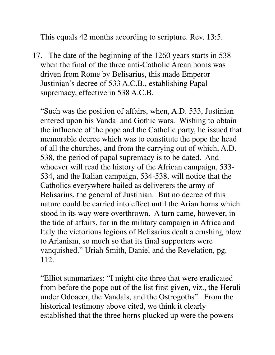This equals 42 months according to scripture. Rev. 13:5.

17. The date of the beginning of the 1260 years starts in 538 when the final of the three anti-Catholic Arean horns was driven from Rome by Belisarius, this made Emperor Justinian's decree of 533 A.C.B., establishing Papal supremacy, effective in 538 A.C.B.

 "Such was the position of affairs, when, A.D. 533, Justinian entered upon his Vandal and Gothic wars. Wishing to obtain the influence of the pope and the Catholic party, he issued that memorable decree which was to constitute the pope the head of all the churches, and from the carrying out of which, A.D. 538, the period of papal supremacy is to be dated. And whoever will read the history of the African campaign, 533- 534, and the Italian campaign, 534-538, will notice that the Catholics everywhere hailed as deliverers the army of Belisarius, the general of Justinian. But no decree of this nature could be carried into effect until the Arian horns which stood in its way were overthrown. A turn came, however, in the tide of affairs, for in the military campaign in Africa and Italy the victorious legions of Belisarius dealt a crushing blow to Arianism, so much so that its final supporters were vanquished." Uriah Smith, Daniel and the Revelation, pg. 112.

 "Elliot summarizes: "I might cite three that were eradicated from before the pope out of the list first given, viz., the Heruli under Odoacer, the Vandals, and the Ostrogoths". From the historical testimony above cited, we think it clearly established that the three horns plucked up were the powers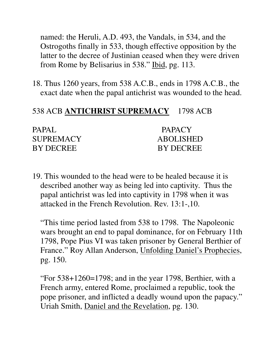named: the Heruli, A.D. 493, the Vandals, in 534, and the Ostrogoths finally in 533, though effective opposition by the latter to the decree of Justinian ceased when they were driven from Rome by Belisarius in 538." Ibid, pg. 113.

18. Thus 1260 years, from 538 A.C.B., ends in 1798 A.C.B., the exact date when the papal antichrist was wounded to the head.

#### 538 ACB **ANTICHRIST SUPREMACY** 1798 ACB

| PAPAL            | <b>PAPACY</b>    |
|------------------|------------------|
| <b>SUPREMACY</b> | <b>ABOLISHED</b> |
| <b>BY DECREE</b> | <b>BY DECREE</b> |

19. This wounded to the head were to be healed because it is described another way as being led into captivity. Thus the papal antichrist was led into captivity in 1798 when it was attacked in the French Revolution. Rev. 13:1-,10.

 "This time period lasted from 538 to 1798. The Napoleonic wars brought an end to papal dominance, for on February 11th 1798, Pope Pius VI was taken prisoner by General Berthier of France." Roy Allan Anderson, Unfolding Daniel's Prophecies, pg. 150.

 "For 538+1260=1798; and in the year 1798, Berthier, with a French army, entered Rome, proclaimed a republic, took the pope prisoner, and inflicted a deadly wound upon the papacy." Uriah Smith, Daniel and the Revelation, pg. 130.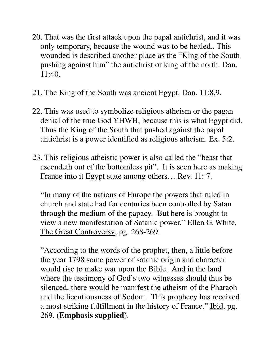- 20. That was the first attack upon the papal antichrist, and it was only temporary, because the wound was to be healed.. This wounded is described another place as the "King of the South pushing against him" the antichrist or king of the north. Dan. 11:40.
- 21. The King of the South was ancient Egypt. Dan. 11:8,9.
- 22. This was used to symbolize religious atheism or the pagan denial of the true God YHWH, because this is what Egypt did. Thus the King of the South that pushed against the papal antichrist is a power identified as religious atheism. Ex. 5:2.
- 23. This religious atheistic power is also called the "beast that ascendeth out of the bottomless pit". It is seen here as making France into it Egypt state among others… Rev. 11: 7.

 "In many of the nations of Europe the powers that ruled in church and state had for centuries been controlled by Satan through the medium of the papacy. But here is brought to view a new manifestation of Satanic power." Ellen G. White, The Great Controversy, pg. 268-269.

 "According to the words of the prophet, then, a little before the year 1798 some power of satanic origin and character would rise to make war upon the Bible. And in the land where the testimony of God's two witnesses should thus be silenced, there would be manifest the atheism of the Pharaoh and the licentiousness of Sodom. This prophecy has received a most striking fulfillment in the history of France." Ibid, pg. 269. (**Emphasis supplied**).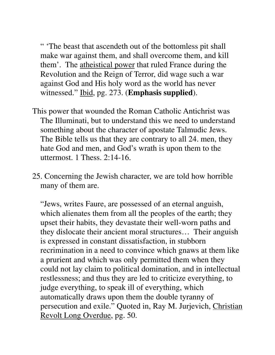" 'The beast that ascendeth out of the bottomless pit shall make war against them, and shall overcome them, and kill them'. The atheistical power that ruled France during the Revolution and the Reign of Terror, did wage such a war against God and His holy word as the world has never witnessed." Ibid, pg. 273. (**Emphasis supplied**).

- This power that wounded the Roman Catholic Antichrist was The Illuminati, but to understand this we need to understand something about the character of apostate Talmudic Jews. The Bible tells us that they are contrary to all 24. men, they hate God and men, and God's wrath is upon them to the uttermost. 1 Thess. 2:14-16.
- 25. Concerning the Jewish character, we are told how horrible many of them are.

 "Jews, writes Faure, are possessed of an eternal anguish, which alienates them from all the peoples of the earth; they upset their habits, they devastate their well-worn paths and they dislocate their ancient moral structures… Their anguish is expressed in constant dissatisfaction, in stubborn recrimination in a need to convince which gnaws at them like a prurient and which was only permitted them when they could not lay claim to political domination, and in intellectual restlessness; and thus they are led to criticize everything, to judge everything, to speak ill of everything, which automatically draws upon them the double tyranny of persecution and exile." Quoted in, Ray M. Jurjevich, Christian Revolt Long Overdue, pg. 50.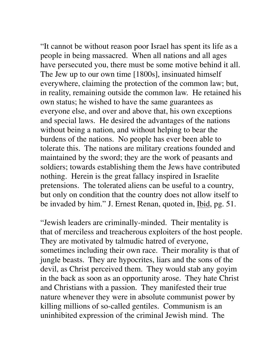"It cannot be without reason poor Israel has spent its life as a people in being massacred. When all nations and all ages have persecuted you, there must be some motive behind it all. The Jew up to our own time [1800s], insinuated himself everywhere, claiming the protection of the common law; but, in reality, remaining outside the common law. He retained his own status; he wished to have the same guarantees as everyone else, and over and above that, his own exceptions and special laws. He desired the advantages of the nations without being a nation, and without helping to bear the burdens of the nations. No people has ever been able to tolerate this. The nations are military creations founded and maintained by the sword; they are the work of peasants and soldiers; towards establishing them the Jews have contributed nothing. Herein is the great fallacy inspired in Israelite pretensions. The tolerated aliens can be useful to a country, but only on condition that the country does not allow itself to be invaded by him." J. Ernest Renan, quoted in, Ibid, pg. 51.

 "Jewish leaders are criminally-minded. Their mentality is that of merciless and treacherous exploiters of the host people. They are motivated by talmudic hatred of everyone, sometimes including their own race. Their morality is that of jungle beasts. They are hypocrites, liars and the sons of the devil, as Christ perceived them. They would stab any goyim in the back as soon as an opportunity arose. They hate Christ and Christians with a passion. They manifested their true nature whenever they were in absolute communist power by killing millions of so-called gentiles. Communism is an uninhibited expression of the criminal Jewish mind. The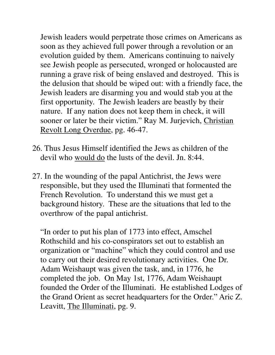Jewish leaders would perpetrate those crimes on Americans as soon as they achieved full power through a revolution or an evolution guided by them. Americans continuing to naively see Jewish people as persecuted, wronged or holocausted are running a grave risk of being enslaved and destroyed. This is the delusion that should be wiped out: with a friendly face, the Jewish leaders are disarming you and would stab you at the first opportunity. The Jewish leaders are beastly by their nature. If any nation does not keep them in check, it will sooner or later be their victim." Ray M. Jurjevich, Christian Revolt Long Overdue, pg. 46-47.

- 26. Thus Jesus Himself identified the Jews as children of the devil who would do the lusts of the devil. Jn. 8:44.
- 27. In the wounding of the papal Antichrist, the Jews were responsible, but they used the Illuminati that formented the French Revolution. To understand this we must get a background history. These are the situations that led to the overthrow of the papal antichrist.

 "In order to put his plan of 1773 into effect, Amschel Rothschild and his co-conspirators set out to establish an organization or "machine" which they could control and use to carry out their desired revolutionary activities. One Dr. Adam Weishaupt was given the task, and, in 1776, he completed the job. On May 1st, 1776, Adam Weishaupt founded the Order of the Illuminati. He established Lodges of the Grand Orient as secret headquarters for the Order." Aric Z. Leavitt, The Illuminati, pg. 9.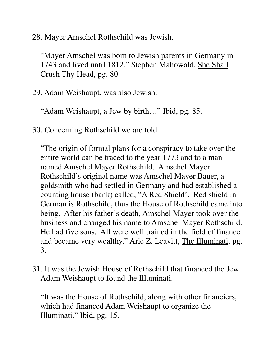28. Mayer Amschel Rothschild was Jewish.

 "Mayer Amschel was born to Jewish parents in Germany in 1743 and lived until 1812." Stephen Mahowald, She Shall Crush Thy Head, pg. 80.

29. Adam Weishaupt, was also Jewish.

"Adam Weishaupt, a Jew by birth…" Ibid, pg. 85.

30. Concerning Rothschild we are told.

 "The origin of formal plans for a conspiracy to take over the entire world can be traced to the year 1773 and to a man named Amschel Mayer Rothschild. Amschel Mayer Rothschild's original name was Amschel Mayer Bauer, a goldsmith who had settled in Germany and had established a counting house (bank) called, "A Red Shield'. Red shield in German is Rothschild, thus the House of Rothschild came into being. After his father's death, Amschel Mayer took over the business and changed his name to Amschel Mayer Rothschild. He had five sons. All were well trained in the field of finance and became very wealthy." Aric Z. Leavitt, The Illuminati, pg. 3.

31. It was the Jewish House of Rothschild that financed the Jew Adam Weishaupt to found the Illuminati.

 "It was the House of Rothschild, along with other financiers, which had financed Adam Weishaupt to organize the Illuminati." Ibid, pg. 15.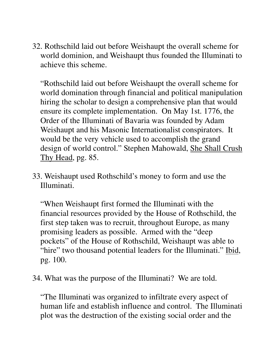32. Rothschild laid out before Weishaupt the overall scheme for world dominion, and Weishaupt thus founded the Illuminati to achieve this scheme.

 "Rothschild laid out before Weishaupt the overall scheme for world domination through financial and political manipulation hiring the scholar to design a comprehensive plan that would ensure its complete implementation. On May 1st. 1776, the Order of the Illuminati of Bavaria was founded by Adam Weishaupt and his Masonic Internationalist conspirators. It would be the very vehicle used to accomplish the grand design of world control." Stephen Mahowald, She Shall Crush Thy Head, pg. 85.

33. Weishaupt used Rothschild's money to form and use the Illuminati.

 "When Weishaupt first formed the Illuminati with the financial resources provided by the House of Rothschild, the first step taken was to recruit, throughout Europe, as many promising leaders as possible. Armed with the "deep pockets" of the House of Rothschild, Weishaupt was able to "hire" two thousand potential leaders for the Illuminati." Ibid, pg. 100.

34. What was the purpose of the Illuminati? We are told.

 "The Illuminati was organized to infiltrate every aspect of human life and establish influence and control. The Illuminati plot was the destruction of the existing social order and the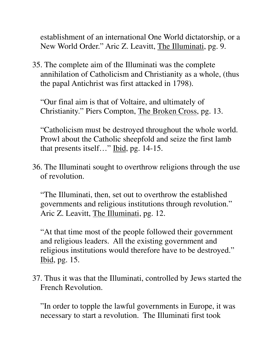establishment of an international One World dictatorship, or a New World Order." Aric Z. Leavitt, The Illuminati, pg. 9.

35. The complete aim of the Illuminati was the complete annihilation of Catholicism and Christianity as a whole, (thus the papal Antichrist was first attacked in 1798).

 "Our final aim is that of Voltaire, and ultimately of Christianity." Piers Compton, The Broken Cross, pg. 13.

 "Catholicism must be destroyed throughout the whole world. Prowl about the Catholic sheepfold and seize the first lamb that presents itself…" Ibid, pg. 14-15.

36. The Illuminati sought to overthrow religions through the use of revolution.

 "The Illuminati, then, set out to overthrow the established governments and religious institutions through revolution." Aric Z. Leavitt, The Illuminati, pg. 12.

 "At that time most of the people followed their government and religious leaders. All the existing government and religious institutions would therefore have to be destroyed." Ibid, pg. 15.

37. Thus it was that the Illuminati, controlled by Jews started the French Revolution.

 "In order to topple the lawful governments in Europe, it was necessary to start a revolution. The Illuminati first took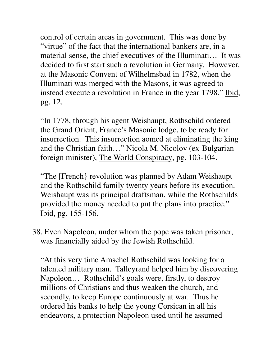control of certain areas in government. This was done by "virtue" of the fact that the international bankers are, in a material sense, the chief executives of the Illuminati… It was decided to first start such a revolution in Germany. However, at the Masonic Convent of Wilhelmsbad in 1782, when the Illuminati was merged with the Masons, it was agreed to instead execute a revolution in France in the year 1798." Ibid, pg. 12.

 "In 1778, through his agent Weishaupt, Rothschild ordered the Grand Orient, France's Masonic lodge, to be ready for insurrection. This insurrection aomed at eliminating the king and the Christian faith…" Nicola M. Nicolov (ex-Bulgarian foreign minister), The World Conspiracy, pg. 103-104.

 "The [French} revolution was planned by Adam Weishaupt and the Rothschild family twenty years before its execution. Weishaupt was its principal draftsman, while the Rothschilds provided the money needed to put the plans into practice." Ibid, pg. 155-156.

38. Even Napoleon, under whom the pope was taken prisoner, was financially aided by the Jewish Rothschild.

 "At this very time Amschel Rothschild was looking for a talented military man. Talleyrand helped him by discovering Napoleon… Rothschild's goals were, firstly, to destroy millions of Christians and thus weaken the church, and secondly, to keep Europe continuously at war. Thus he ordered his banks to help the young Corsican in all his endeavors, a protection Napoleon used until he assumed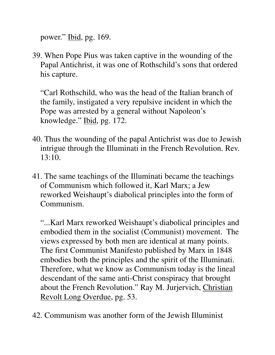power." Ibid, pg. 169.

39. When Pope Pius was taken captive in the wounding of the Papal Antichrist, it was one of Rothschild's sons that ordered his capture.

 "Carl Rothschild, who was the head of the Italian branch of the family, instigated a very repulsive incident in which the Pope was arrested by a general without Napoleon's knowledge." Ibid, pg. 172.

- 40. Thus the wounding of the papal Antichrist was due to Jewish intrigue through the Illuminati in the French Revolution. Rev. 13:10.
- 41. The same teachings of the Illuminati became the teachings of Communism which followed it, Karl Marx; a Jew reworked Weishaupt's diabolical principles into the form of Communism.

 "...Karl Marx reworked Weishaupt's diabolical principles and embodied them in the socialist (Communist) movement. The views expressed by both men are identical at many points. The first Communist Manifesto published by Marx in 1848 embodies both the principles and the spirit of the Illuminati. Therefore, what we know as Communism today is the lineal descendant of the same anti-Christ conspiracy that brought about the French Revolution." Ray M. Jurjervich, Christian Revolt Long Overdue, pg. 53.

42. Communism was another form of the Jewish Illuminist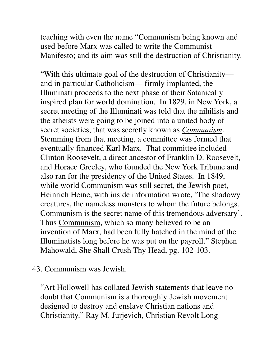teaching with even the name "Communism being known and used before Marx was called to write the Communist Manifesto; and its aim was still the destruction of Christianity.

 "With this ultimate goal of the destruction of Christianity and in particular Catholicism— firmly implanted, the Illuminati proceeds to the next phase of their Satanically inspired plan for world domination. In 1829, in New York, a secret meeting of the Illuminati was told that the nihilists and the atheists were going to be joined into a united body of secret societies, that was secretly known as *Communism*. Stemming from that meeting, a committee was formed that eventually financed Karl Marx. That committee included Clinton Roosevelt, a direct ancestor of Franklin D. Roosevelt, and Horace Greeley, who founded the New York Tribune and also ran for the presidency of the United States. In 1849, while world Communism was still secret, the Jewish poet, Heinrich Heine, with inside information wrote, 'The shadowy creatures, the nameless monsters to whom the future belongs. Communism is the secret name of this tremendous adversary'. Thus Communism, which so many believed to be an invention of Marx, had been fully hatched in the mind of the Illuminatists long before he was put on the payroll." Stephen Mahowald, She Shall Crush Thy Head, pg. 102-103.

43. Communism was Jewish.

 "Art Hollowell has collated Jewish statements that leave no doubt that Communism is a thoroughly Jewish movement designed to destroy and enslave Christian nations and Christianity." Ray M. Jurjevich, Christian Revolt Long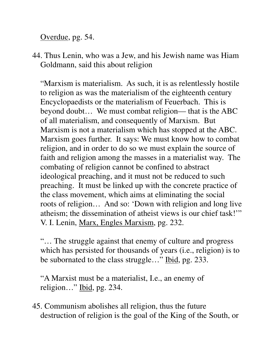Overdue, pg. 54.

44. Thus Lenin, who was a Jew, and his Jewish name was Hiam Goldmann, said this about religion

 "Marxism is materialism. As such, it is as relentlessly hostile to religion as was the materialism of the eighteenth century Encyclopaedists or the materialism of Feuerbach. This is beyond doubt… We must combat religion— that is the ABC of all materialism, and consequently of Marxism. But Marxism is not a materialism which has stopped at the ABC. Marxism goes further. It says: We must know how to combat religion, and in order to do so we must explain the source of faith and religion among the masses in a materialist way. The combating of religion cannot be confined to abstract ideological preaching, and it must not be reduced to such preaching. It must be linked up with the concrete practice of the class movement, which aims at eliminating the social roots of religion… And so: 'Down with religion and long live atheism; the dissemination of atheist views is our chief task!'" V. I. Lenin, Marx, Engles Marxism, pg. 232.

 "… The struggle against that enemy of culture and progress which has persisted for thousands of years (i.e., religion) is to be subornated to the class struggle..." Ibid, pg. 233.

 "A Marxist must be a materialist, I.e., an enemy of religion…" Ibid, pg. 234.

45. Communism abolishes all religion, thus the future destruction of religion is the goal of the King of the South, or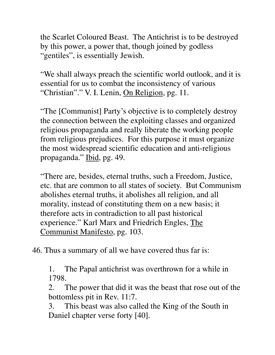the Scarlet Coloured Beast. The Antichrist is to be destroyed by this power, a power that, though joined by godless "gentiles", is essentially Jewish.

 "We shall always preach the scientific world outlook, and it is essential for us to combat the inconsistency of various "Christian"." V. I. Lenin, On Religion, pg. 11.

 "The [Communist] Party's objective is to completely destroy the connection between the exploiting classes and organized religious propaganda and really liberate the working people from religious prejudices. For this purpose it must organize the most widespread scientific education and anti-religious propaganda." Ibid, pg. 49.

 "There are, besides, eternal truths, such a Freedom, Justice, etc. that are common to all states of society. But Communism abolishes eternal truths, it abolishes all religion, and all morality, instead of constituting them on a new basis; it therefore acts in contradiction to all past historical experience." Karl Marx and Friedrich Engles, The Communist Manifesto, pg. 103.

46. Thus a summary of all we have covered thus far is:

 1. The Papal antichrist was overthrown for a while in 1798.

 2. The power that did it was the beast that rose out of the bottomless pit in Rev. 11:7.

 3. This beast was also called the King of the South in Daniel chapter verse forty [40].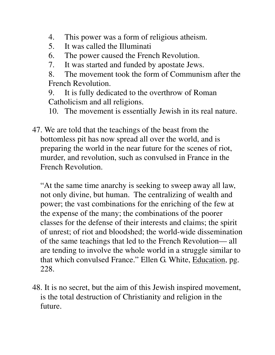- 4. This power was a form of religious atheism.
- 5. It was called the Illuminati
- 6. The power caused the French Revolution.
- 7. It was started and funded by apostate Jews.

 8. The movement took the form of Communism after the French Revolution.

 9. It is fully dedicated to the overthrow of Roman Catholicism and all religions.

10. The movement is essentially Jewish in its real nature.

47. We are told that the teachings of the beast from the bottomless pit has now spread all over the world, and is preparing the world in the near future for the scenes of riot, murder, and revolution, such as convulsed in France in the French Revolution.

 "At the same time anarchy is seeking to sweep away all law, not only divine, but human. The centralizing of wealth and power; the vast combinations for the enriching of the few at the expense of the many; the combinations of the poorer classes for the defense of their interests and claims; the spirit of unrest; of riot and bloodshed; the world-wide dissemination of the same teachings that led to the French Revolution— all are tending to involve the whole world in a struggle similar to that which convulsed France." Ellen G. White, Education, pg. 228.

48. It is no secret, but the aim of this Jewish inspired movement, is the total destruction of Christianity and religion in the future.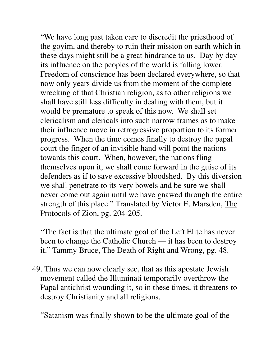"We have long past taken care to discredit the priesthood of the goyim, and thereby to ruin their mission on earth which in these days might still be a great hindrance to us. Day by day its influence on the peoples of the world is falling lower. Freedom of conscience has been declared everywhere, so that now only years divide us from the moment of the complete wrecking of that Christian religion, as to other religions we shall have still less difficulty in dealing with them, but it would be premature to speak of this now. We shall set clericalism and clericals into such narrow frames as to make their influence move in retrogressive proportion to its former progress. When the time comes finally to destroy the papal court the finger of an invisible hand will point the nations towards this court. When, however, the nations fling themselves upon it, we shall come forward in the guise of its defenders as if to save excessive bloodshed. By this diversion we shall penetrate to its very bowels and be sure we shall never come out again until we have gnawed through the entire strength of this place." Translated by Victor E. Marsden, The Protocols of Zion, pg. 204-205.

 "The fact is that the ultimate goal of the Left Elite has never been to change the Catholic Church — it has been to destroy it." Tammy Bruce, The Death of Right and Wrong, pg. 48.

49. Thus we can now clearly see, that as this apostate Jewish movement called the Illuminati temporarily overthrow the Papal antichrist wounding it, so in these times, it threatens to destroy Christianity and all religions.

"Satanism was finally shown to be the ultimate goal of the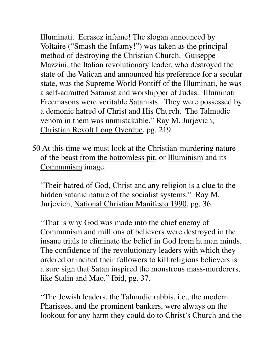Illuminati. Ecrasez infame! The slogan announced by Voltaire ("Smash the Infamy!") was taken as the principal method of destroying the Christian Church. Guiseppe Mazzini, the Italian revolutionary leader, who destroyed the state of the Vatican and announced his preference for a secular state, was the Supreme World Pontiff of the Illuminati, he was a self-admitted Satanist and worshipper of Judas. Illuminati Freemasons were veritable Satanists. They were possessed by a demonic hatred of Christ and His Church. The Talmudic venom in them was unmistakable." Ray M. Jurjevich, Christian Revolt Long Overdue, pg. 219.

50 At this time we must look at the Christian-murdering nature of the beast from the bottomless pit, or Illuminism and its Communism image.

 "Their hatred of God, Christ and any religion is a clue to the hidden satanic nature of the socialist systems." Ray M. Jurjevich, National Christian Manifesto 1990, pg. 36.

 "That is why God was made into the chief enemy of Communism and millions of believers were destroyed in the insane trials to eliminate the belief in God from human minds. The confidence of the revolutionary leaders with which they ordered or incited their followers to kill religious believers is a sure sign that Satan inspired the monstrous mass-murderers, like Stalin and Mao." Ibid, pg. 37.

 "The Jewish leaders, the Talmudic rabbis, i.e., the modern Pharisees, and the prominent bankers, were always on the lookout for any harm they could do to Christ's Church and the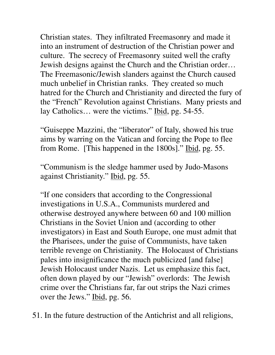Christian states. They infiltrated Freemasonry and made it into an instrument of destruction of the Christian power and culture. The secrecy of Freemasonry suited well the crafty Jewish designs against the Church and the Christian order… The Freemasonic/Jewish slanders against the Church caused much unbelief in Christian ranks. They created so much hatred for the Church and Christianity and directed the fury of the "French" Revolution against Christians. Many priests and lay Catholics... were the victims." Ibid, pg. 54-55.

 "Guiseppe Mazzini, the "liberator" of Italy, showed his true aims by warring on the Vatican and forcing the Pope to flee from Rome. [This happened in the 1800s]." Ibid, pg. 55.

 "Communism is the sledge hammer used by Judo-Masons against Christianity." Ibid, pg. 55.

 "If one considers that according to the Congressional investigations in U.S.A., Communists murdered and otherwise destroyed anywhere between 60 and 100 million Christians in the Soviet Union and (according to other investigators) in East and South Europe, one must admit that the Pharisees, under the guise of Communists, have taken terrible revenge on Christianity. The Holocaust of Christians pales into insignificance the much publicized [and false] Jewish Holocaust under Nazis. Let us emphasize this fact, often down played by our "Jewish" overlords: The Jewish crime over the Christians far, far out strips the Nazi crimes over the Jews." Ibid, pg. 56.

51. In the future destruction of the Antichrist and all religions,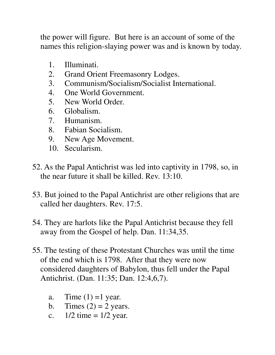the power will figure. But here is an account of some of the names this religion-slaying power was and is known by today.

- 1. Illuminati.
- 2. Grand Orient Freemasonry Lodges.
- 3. Communism/Socialism/Socialist International.
- 4. One World Government.
- 5. New World Order.
- 6. Globalism.
- 7. Humanism.
- 8. Fabian Socialism.
- 9. New Age Movement.
- 10. Secularism.
- 52. As the Papal Antichrist was led into captivity in 1798, so, in the near future it shall be killed. Rev. 13:10.
- 53. But joined to the Papal Antichrist are other religions that are called her daughters. Rev. 17:5.
- 54. They are harlots like the Papal Antichrist because they fell away from the Gospel of help. Dan. 11:34,35.
- 55. The testing of these Protestant Churches was until the time of the end which is 1798. After that they were now considered daughters of Babylon, thus fell under the Papal Antichrist. (Dan. 11:35; Dan. 12:4,6,7).
	- a. Time  $(1) = 1$  year.
	- b. Times  $(2) = 2$  years.
	- c.  $1/2$  time =  $1/2$  year.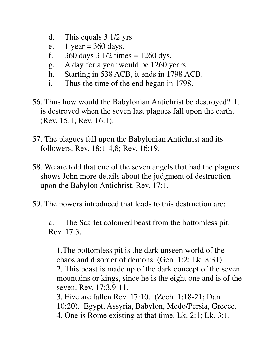- d. This equals 3 1/2 yrs.
- e. 1 year =  $360$  days.
- f.  $360 \text{ days} 3 \frac{1}{2} \text{ times} = 1260 \text{ dys}.$
- g. A day for a year would be 1260 years.
- h. Starting in 538 ACB, it ends in 1798 ACB.
- i. Thus the time of the end began in 1798.
- 56. Thus how would the Babylonian Antichrist be destroyed? It is destroyed when the seven last plagues fall upon the earth. (Rev. 15:1; Rev. 16:1).
- 57. The plagues fall upon the Babylonian Antichrist and its followers. Rev. 18:1-4,8; Rev. 16:19.
- 58. We are told that one of the seven angels that had the plagues shows John more details about the judgment of destruction upon the Babylon Antichrist. Rev. 17:1.
- 59. The powers introduced that leads to this destruction are:

 a. The Scarlet coloured beast from the bottomless pit. Rev. 17:3.

 1.The bottomless pit is the dark unseen world of the chaos and disorder of demons. (Gen. 1:2; Lk. 8:31). 2. This beast is made up of the dark concept of the seven mountains or kings, since he is the eight one and is of the seven. Rev. 17:3,9-11. 3. Five are fallen Rev. 17:10. (Zech. 1:18-21; Dan. 10:20). Egypt, Assyria, Babylon, Medo/Persia, Greece.

4. One is Rome existing at that time. Lk. 2:1; Lk. 3:1.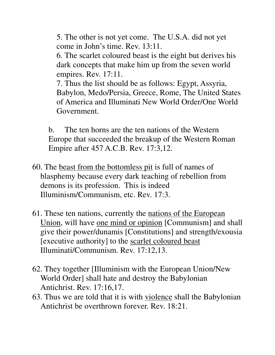5. The other is not yet come. The U.S.A. did not yet come in John's time. Rev. 13:11.

 6. The scarlet coloured beast is the eight but derives his dark concepts that make him up from the seven world empires. Rev. 17:11.

 7. Thus the list should be as follows: Egypt, Assyria, Babylon, Medo/Persia, Greece, Rome, The United States of America and Illuminati New World Order/One World Government.

 b. The ten horns are the ten nations of the Western Europe that succeeded the breakup of the Western Roman Empire after 457 A.C.B. Rev. 17:3,12.

- 60. The beast from the bottomless pit is full of names of blasphemy because every dark teaching of rebellion from demons is its profession. This is indeed Illuminism/Communism, etc. Rev. 17:3.
- 61. These ten nations, currently the nations of the European Union, will have one mind or opinion [Communism] and shall give their power/dunamis [Constitutions] and strength/exousia [executive authority] to the scarlet coloured beast Illuminati/Communism. Rev. 17:12,13.
- 62. They together [Illuminism with the European Union/New World Order] shall hate and destroy the Babylonian Antichrist. Rev. 17:16,17.
- 63. Thus we are told that it is with violence shall the Babylonian Antichrist be overthrown forever. Rev. 18:21.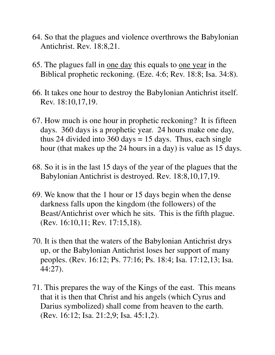- 64. So that the plagues and violence overthrows the Babylonian Antichrist. Rev. 18:8,21.
- 65. The plagues fall in one day this equals to one year in the Biblical prophetic reckoning. (Eze. 4:6; Rev. 18:8; Isa. 34:8).
- 66. It takes one hour to destroy the Babylonian Antichrist itself. Rev. 18:10,17,19.
- 67. How much is one hour in prophetic reckoning? It is fifteen days. 360 days is a prophetic year. 24 hours make one day, thus 24 divided into 360 days  $= 15$  days. Thus, each single hour (that makes up the 24 hours in a day) is value as 15 days.
- 68. So it is in the last 15 days of the year of the plagues that the Babylonian Antichrist is destroyed. Rev. 18:8,10,17,19.
- 69. We know that the 1 hour or 15 days begin when the dense darkness falls upon the kingdom (the followers) of the Beast/Antichrist over which he sits. This is the fifth plague. (Rev. 16:10,11; Rev. 17:15,18).
- 70. It is then that the waters of the Babylonian Antichrist drys up, or the Babylonian Antichrist loses her support of many peoples. (Rev. 16:12; Ps. 77:16; Ps. 18:4; Isa. 17:12,13; Isa. 44:27).
- 71. This prepares the way of the Kings of the east. This means that it is then that Christ and his angels (which Cyrus and Darius symbolized) shall come from heaven to the earth. (Rev. 16:12; Isa. 21:2,9; Isa. 45:1,2).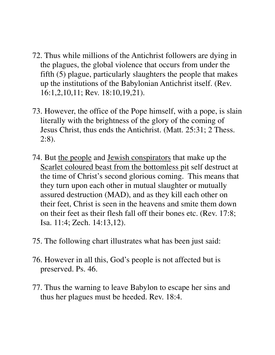- 72. Thus while millions of the Antichrist followers are dying in the plagues, the global violence that occurs from under the fifth (5) plague, particularly slaughters the people that makes up the institutions of the Babylonian Antichrist itself. (Rev. 16:1,2,10,11; Rev. 18:10,19,21).
- 73. However, the office of the Pope himself, with a pope, is slain literally with the brightness of the glory of the coming of Jesus Christ, thus ends the Antichrist. (Matt. 25:31; 2 Thess. 2:8).
- 74. But the people and Jewish conspirators that make up the Scarlet coloured beast from the bottomless pit self destruct at the time of Christ's second glorious coming. This means that they turn upon each other in mutual slaughter or mutually assured destruction (MAD), and as they kill each other on their feet, Christ is seen in the heavens and smite them down on their feet as their flesh fall off their bones etc. (Rev. 17:8; Isa. 11:4; Zech. 14:13,12).
- 75. The following chart illustrates what has been just said:
- 76. However in all this, God's people is not affected but is preserved. Ps. 46.
- 77. Thus the warning to leave Babylon to escape her sins and thus her plagues must be heeded. Rev. 18:4.